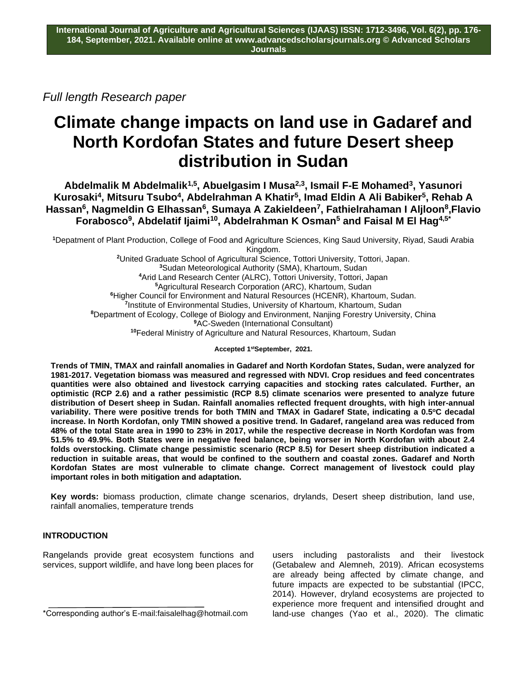*Full length Research paper*

# **Climate change impacts on land use in Gadaref and North Kordofan States and future Desert sheep distribution in Sudan**

**Abdelmalik M Abdelmalik1,5, Abuelgasim I Musa2,3 , Ismail F-E Mohamed<sup>3</sup> , Yasunori Kurosaki<sup>4</sup> , Mitsuru Tsubo<sup>4</sup> , Abdelrahman A Khatir<sup>5</sup> , Imad Eldin A Ali Babiker<sup>5</sup> , Rehab A Hassan<sup>6</sup> , Nagmeldin G Elhassan<sup>6</sup> , Sumaya A Zakieldeen<sup>7</sup> , Fathielrahaman I Aljloon<sup>8</sup> ,Flavio Forabosco<sup>9</sup> , Abdelatif Ijaimi<sup>10</sup> , Abdelrahman K Osman<sup>5</sup> and Faisal M El Hag4,5\***

Depatment of Plant Production, College of Food and Agriculture Sciences, King Saud University, Riyad, Saudi Arabia Kingdom. United Graduate School of Agricultural Science, Tottori University, Tottori, Japan. Sudan Meteorological Authority (SMA), Khartoum, Sudan Arid Land Research Center (ALRC), Tottori University, Tottori, Japan Agricultural Research Corporation (ARC), Khartoum, Sudan Higher Council for Environment and Natural Resources (HCENR), Khartoum, Sudan. Institute of Environmental Studies, University of Khartoum, Khartoum, Sudan Department of Ecology, College of Biology and Environment, Nanjing Forestry University, China AC-Sweden (International Consultant) Federal Ministry of Agriculture and Natural Resources, Khartoum, Sudan

**Accepted 1stSeptember, 2021.**

**Trends of TMIN, TMAX and rainfall anomalies in Gadaref and North Kordofan States, Sudan, were analyzed for 1981-2017. Vegetation biomass was measured and regressed with NDVI. Crop residues and feed concentrates quantities were also obtained and livestock carrying capacities and stocking rates calculated. Further, an optimistic (RCP 2.6) and a rather pessimistic (RCP 8.5) climate scenarios were presented to analyze future distribution of Desert sheep in Sudan. Rainfall anomalies reflected frequent droughts, with high inter-annual variability. There were positive trends for both TMIN and TMAX in Gadaref State, indicating a 0.5<sup>o</sup>C decadal increase. In North Kordofan, only TMIN showed a positive trend. In Gadaref, rangeland area was reduced from 48% of the total State area in 1990 to 23% in 2017, while the respective decrease in North Kordofan was from 51.5% to 49.9%. Both States were in negative feed balance, being worser in North Kordofan with about 2.4 folds overstocking. Climate change pessimistic scenario (RCP 8.5) for Desert sheep distribution indicated a reduction in suitable areas, that would be confined to the southern and coastal zones. Gadaref and North Kordofan States are most vulnerable to climate change. Correct management of livestock could play important roles in both mitigation and adaptation.**

**Key words:** biomass production, climate change scenarios, drylands, Desert sheep distribution, land use, rainfall anomalies, temperature trends

# **INTRODUCTION**

Rangelands provide great ecosystem functions and services, support wildlife, and have long been places for

\*Corresponding author's E-mail:faisalelhag@hotmail.com

users including pastoralists and their livestock (Getabalew and Alemneh, 2019). African ecosystems are already being affected by climate change, and future impacts are expected to be substantial (IPCC, 2014). However, dryland ecosystems are projected to experience more frequent and intensified drought and land-use changes (Yao et al., 2020). The climatic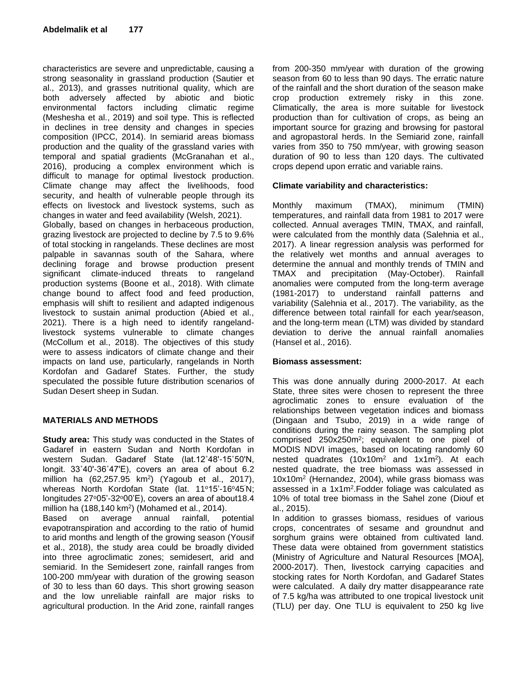characteristics are severe and unpredictable, causing a strong seasonality in grassland production (Sautier et al., 2013), and grasses nutritional quality, which are both adversely affected by abiotic and biotic environmental factors including climatic regime (Meshesha et al., 2019) and soil type. This is reflected in declines in tree density and changes in species composition (IPCC, 2014). In semiarid areas biomass production and the quality of the grassland varies with temporal and spatial gradients (McGranahan et al., 2016), producing a complex environment which is difficult to manage for optimal livestock production. Climate change may affect the livelihoods, food security, and health of vulnerable people through its effects on livestock and livestock systems, such as changes in water and feed availability (Welsh, 2021). Globally, based on changes in herbaceous production, grazing livestock are projected to decline by 7.5 to 9.6% of total stocking in rangelands. These declines are most palpable in savannas south of the Sahara, where declining forage and browse production present significant climate-induced threats to rangeland production systems (Boone et al., 2018). With climate change bound to affect food and feed production, emphasis will shift to resilient and adapted indigenous livestock to sustain animal production (Abied et al., 2021). There is a high need to identify rangelandlivestock systems vulnerable to climate changes (McCollum et al., 2018). The objectives of this study were to assess indicators of climate change and their impacts on land use, particularly, rangelands in North Kordofan and Gadaref States. Further, the study speculated the possible future distribution scenarios of Sudan Desert sheep in Sudan.

## **MATERIALS AND METHODS**

**Study area:** This study was conducted in the States of Gadaref in eastern Sudan and North Kordofan in western Sudan. Gadaref State (lat.12˚48'-15˚50'N, longit. 33˚40'-36˚47'E), covers an area of about 6.2 million ha (62,257.95 km<sup>2</sup>) (Yagoub et al., 2017), whereas North Kordofan State (lat. 11°15'-16°45'N; longitudes 27°05'-32°00'E), covers an area of about 18.4 million ha (188,140 km<sup>2</sup> ) (Mohamed et al., 2014).

Based on average annual rainfall, potential evapotranspiration and according to the ratio of humid to arid months and length of the growing season (Yousif et al., 2018), the study area could be broadly divided into three agroclimatic zones; semidesert, arid and semiarid. In the Semidesert zone, rainfall ranges from 100-200 mm/year with duration of the growing season of 30 to less than 60 days. This short growing season and the low unreliable rainfall are major risks to agricultural production. In the Arid zone, rainfall ranges

from 200-350 mm/year with duration of the growing season from 60 to less than 90 days. The erratic nature of the rainfall and the short duration of the season make crop production extremely risky in this zone. Climatically, the area is more suitable for livestock production than for cultivation of crops, as being an important source for grazing and browsing for pastoral and agropastoral herds. In the Semiarid zone, rainfall varies from 350 to 750 mm/year, with growing season duration of 90 to less than 120 days. The cultivated crops depend upon erratic and variable rains.

# **Climate variability and characteristics:**

Monthly maximum (TMAX), minimum (TMIN) temperatures, and rainfall data from 1981 to 2017 were collected. Annual averages TMIN, TMAX, and rainfall, were calculated from the monthly data (Salehnia et al., 2017). A linear regression analysis was performed for the relatively wet months and annual averages to determine the annual and monthly trends of TMIN and TMAX and precipitation (May-October). Rainfall anomalies were computed from the long-term average (1981-2017) to understand rainfall patterns and variability (Salehnia et al., 2017). The variability, as the difference between total rainfall for each year/season, and the long-term mean (LTM) was divided by standard deviation to derive the annual rainfall anomalies (Hansel et al., 2016).

## **Biomass assessment:**

This was done annually during 2000-2017. At each State, three sites were chosen to represent the three agroclimatic zones to ensure evaluation of the relationships between vegetation indices and biomass (Dingaan and Tsubo, 2019) in a wide range of conditions during the rainy season. The sampling plot comprised 250x250m<sup>2</sup>; equivalent to one pixel of MODIS NDVI images, based on locating randomly 60 nested quadrates (10x10m<sup>2</sup> and 1x1m<sup>2</sup>). At each nested quadrate, the tree biomass was assessed in 10x10m<sup>2</sup> (Hernandez, 2004), while grass biomass was assessed in a 1x1m<sup>2</sup> .Fodder foliage was calculated as 10% of total tree biomass in the Sahel zone (Diouf et al., 2015).

In addition to grasses biomass, residues of various crops, concentrates of sesame and groundnut and sorghum grains were obtained from cultivated land. These data were obtained from government statistics (Ministry of Agriculture and Natural Resources [MOA], 2000-2017). Then, livestock carrying capacities and stocking rates for North Kordofan, and Gadaref States were calculated. A daily dry matter disappearance rate of 7.5 kg/ha was attributed to one tropical livestock unit (TLU) per day. One TLU is equivalent to 250 kg live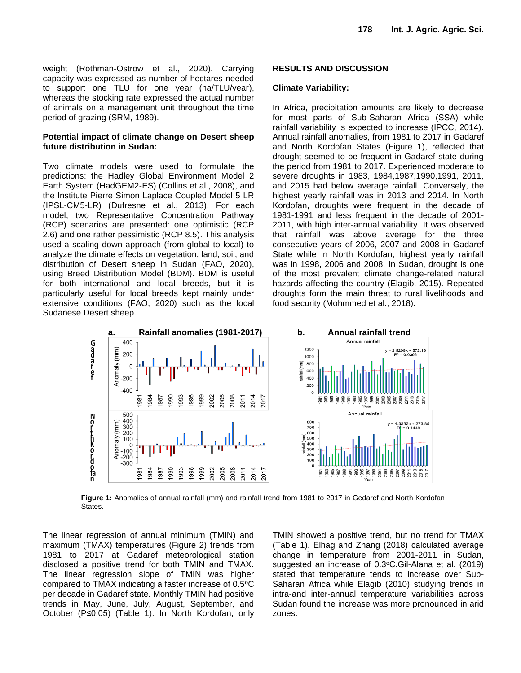weight (Rothman-Ostrow et al., 2020). Carrying capacity was expressed as number of hectares needed to support one TLU for one year (ha/TLU/year), whereas the stocking rate expressed the actual number of animals on a management unit throughout the time period of grazing (SRM, 1989).

## **Potential impact of climate change on Desert sheep future distribution in Sudan:**

Two climate models were used to formulate the predictions: the Hadley Global Environment Model 2 Earth System (HadGEM2-ES) (Collins et al., 2008), and the Institute Pierre Simon Laplace Coupled Model 5 LR (IPSL-CM5-LR) (Dufresne et al., 2013). For each model, two Representative Concentration Pathway (RCP) scenarios are presented: one optimistic (RCP 2.6) and one rather pessimistic (RCP 8.5). This analysis used a scaling down approach (from global to local) to analyze the climate effects on vegetation, land, soil, and distribution of Desert sheep in Sudan (FAO, 2020), using Breed Distribution Model (BDM). BDM is useful for both international and local breeds, but it is particularly useful for local breeds kept mainly under extensive conditions (FAO, 2020) such as the local Sudanese Desert sheep.

## **RESULTS AND DISCUSSION**

## **Climate Variability:**

In Africa, precipitation amounts are likely to decrease for most parts of Sub-Saharan Africa (SSA) while rainfall variability is expected to increase (IPCC, 2014). Annual rainfall anomalies, from 1981 to 2017 in Gadaref and North Kordofan States (Figure 1), reflected that drought seemed to be frequent in Gadaref state during the period from 1981 to 2017. Experienced moderate to severe droughts in 1983, 1984,1987,1990,1991, 2011, and 2015 had below average rainfall. Conversely, the highest yearly rainfall was in 2013 and 2014. In North Kordofan, droughts were frequent in the decade of 1981-1991 and less frequent in the decade of 2001- 2011, with high inter-annual variability. It was observed that rainfall was above average for the three consecutive years of 2006, 2007 and 2008 in Gadaref State while in North Kordofan, highest yearly rainfall was in 1998, 2006 and 2008. In Sudan, drought is one of the most prevalent climate change-related natural hazards affecting the country (Elagib, 2015). Repeated droughts form the main threat to rural livelihoods and food security (Mohmmed et al., 2018).



**Figure 1:** Anomalies of annual rainfall (mm) and rainfall trend from 1981 to 2017 in Gedaref and North Kordofan States.

The linear regression of annual minimum (TMIN) and maximum (TMAX) temperatures (Figure 2) trends from 1981 to 2017 at Gadaref meteorological station disclosed a positive trend for both TMIN and TMAX. The linear regression slope of TMIN was higher compared to TMAX indicating a faster increase of 0.5°C per decade in Gadaref state. Monthly TMIN had positive trends in May, June, July, August, September, and October (P≤0.05) (Table 1). In North Kordofan, only TMIN showed a positive trend, but no trend for TMAX (Table 1). Elhag and Zhang (2018) calculated average change in temperature from 2001-2011 in Sudan, suggested an increase of 0.3°C.Gil-Alana et al. (2019) stated that temperature tends to increase over Sub-Saharan Africa while Elagib (2010) studying trends in intra-and inter-annual temperature variabilities across Sudan found the increase was more pronounced in arid zones.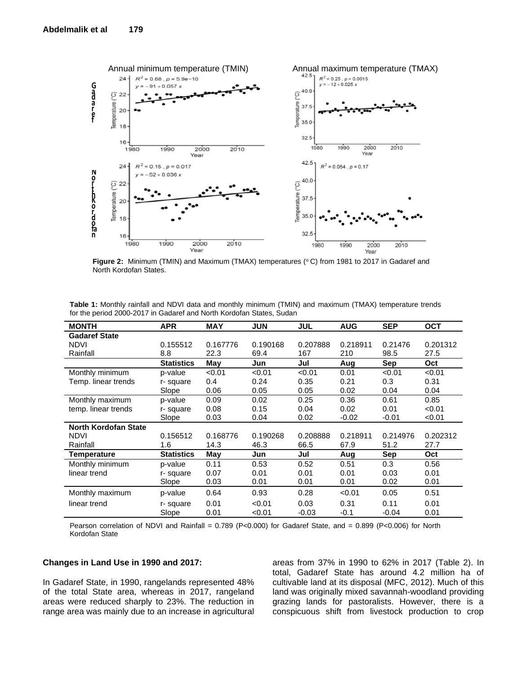

Figure 2: Minimum (TMIN) and Maximum (TMAX) temperatures (°C) from 1981 to 2017 in Gadaref and North Kordofan States.

| Table 1: Monthly rainfall and NDVI data and monthly minimum (TMIN) and maximum (TMAX) temperature trends |  |  |  |  |  |
|----------------------------------------------------------------------------------------------------------|--|--|--|--|--|
| for the period 2000-2017 in Gadaref and North Kordofan States, Sudan                                     |  |  |  |  |  |

| <b>MONTH</b>                | <b>APR</b>        | <b>MAY</b> | <b>JUN</b> | <b>JUL</b> | <b>AUG</b> | <b>SEP</b> | <b>OCT</b> |
|-----------------------------|-------------------|------------|------------|------------|------------|------------|------------|
| <b>Gadaref State</b>        |                   |            |            |            |            |            |            |
| <b>NDVI</b>                 | 0.155512          | 0.167776   | 0.190168   | 0.207888   | 0.218911   | 0.21476    | 0.201312   |
| Rainfall                    | 8.8               | 22.3       | 69.4       | 167        | 210        | 98.5       | 27.5       |
|                             | <b>Statistics</b> | May        | Jun        | Jul        | Aug        | Sep        | Oct        |
| Monthly minimum             | p-value           | < 0.01     | < 0.01     | < 0.01     | 0.01       | < 0.01     | < 0.01     |
| Temp. linear trends         | r-square          | 0.4        | 0.24       | 0.35       | 0.21       | 0.3        | 0.31       |
|                             | Slope             | 0.06       | 0.05       | 0.05       | 0.02       | 0.04       | 0.04       |
| Monthly maximum             | p-value           | 0.09       | 0.02       | 0.25       | 0.36       | 0.61       | 0.85       |
| temp. linear trends         | r-square          | 0.08       | 0.15       | 0.04       | 0.02       | 0.01       | < 0.01     |
|                             | Slope             | 0.03       | 0.04       | 0.02       | $-0.02$    | $-0.01$    | < 0.01     |
| <b>North Kordofan State</b> |                   |            |            |            |            |            |            |
| <b>NDVI</b>                 | 0.156512          | 0.168776   | 0.190268   | 0.208888   | 0.218911   | 0.214976   | 0.202312   |
| Rainfall                    | 1.6               | 14.3       | 46.3       | 66.5       | 67.9       | 51.2       | 27.7       |
| Temperature                 | <b>Statistics</b> | May        | Jun        | Jul        | Aug        | Sep        | Oct        |
| Monthly minimum             | p-value           | 0.11       | 0.53       | 0.52       | 0.51       | 0.3        | 0.56       |
| linear trend                | r-square          | 0.07       | 0.01       | 0.01       | 0.01       | 0.03       | 0.01       |
|                             | Slope             | 0.03       | 0.01       | 0.01       | 0.01       | 0.02       | 0.01       |
| Monthly maximum             | p-value           | 0.64       | 0.93       | 0.28       | < 0.01     | 0.05       | 0.51       |
| linear trend                | r-square          | 0.01       | < 0.01     | 0.03       | 0.31       | 0.11       | 0.01       |
|                             | Slope             | 0.01       | < 0.01     | $-0.03$    | $-0.1$     | $-0.04$    | 0.01       |

Pearson correlation of NDVI and Rainfall = 0.789 (P<0.000) for Gadaref State, and = 0.899 (P<0.006) for North Kordofan State

#### **Changes in Land Use in 1990 and 2017:**

In Gadaref State, in 1990, rangelands represented 48% of the total State area, whereas in 2017, rangeland areas were reduced sharply to 23%. The reduction in range area was mainly due to an increase in agricultural areas from 37% in 1990 to 62% in 2017 (Table 2). In total, Gadaref State has around 4.2 million ha of cultivable land at its disposal (MFC, 2012). Much of this land was originally mixed savannah-woodland providing grazing lands for pastoralists. However, there is a conspicuous shift from livestock production to crop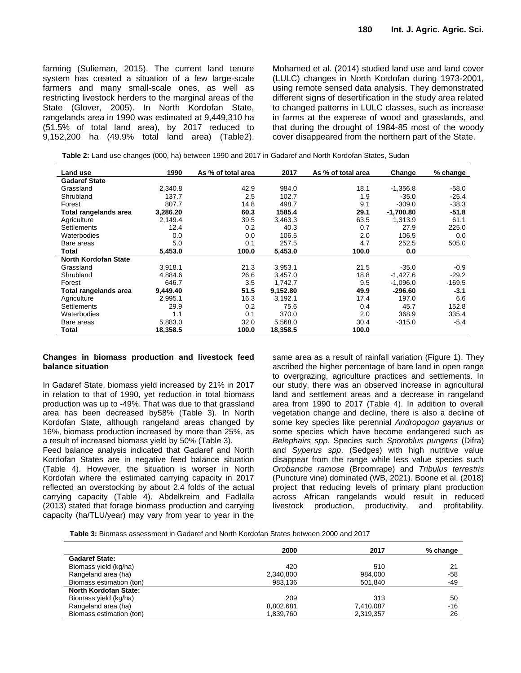farming (Sulieman, 2015). The current land tenure system has created a situation of a few large-scale farmers and many small-scale ones, as well as restricting livestock herders to the marginal areas of the State (Glover, 2005). In North Kordofan State, rangelands area in 1990 was estimated at 9,449,310 ha (51.5% of total land area), by 2017 reduced to 9,152,200 ha (49.9% total land area) (Table2). Mohamed et al. (2014) studied land use and land cover (LULC) changes in North Kordofan during 1973-2001, using remote sensed data analysis. They demonstrated different signs of desertification in the study area related to changed patterns in LULC classes, such as increase in farms at the expense of wood and grasslands, and that during the drought of 1984-85 most of the woody cover disappeared from the northern part of the State.

**Table 2:** Land use changes (000, ha) between 1990 and 2017 in Gadaref and North Kordofan States, Sudan

| Land use                    | 1990     | As % of total area | 2017     | As % of total area | Change      | $%$ change |
|-----------------------------|----------|--------------------|----------|--------------------|-------------|------------|
| <b>Gadaref State</b>        |          |                    |          |                    |             |            |
| Grassland                   | 2,340.8  | 42.9               | 984.0    | 18.1               | $-1,356.8$  | $-58.0$    |
| Shrubland                   | 137.7    | 2.5                | 102.7    | 1.9                | $-35.0$     | $-25.4$    |
| Forest                      | 807.7    | 14.8               | 498.7    | 9.1                | $-309.0$    | $-38.3$    |
| Total rangelands area       | 3,286.20 | 60.3               | 1585.4   | 29.1               | $-1,700.80$ | $-51.8$    |
| Agriculture                 | 2,149.4  | 39.5               | 3,463.3  | 63.5               | 1,313.9     | 61.1       |
| <b>Settlements</b>          | 12.4     | 0.2                | 40.3     | 0.7                | 27.9        | 225.0      |
| Waterbodies                 | 0.0      | 0.0                | 106.5    | 2.0                | 106.5       | 0.0        |
| Bare areas                  | 5.0      | 0.1                | 257.5    | 4.7                | 252.5       | 505.0      |
| Total                       | 5,453.0  | 100.0              | 5,453.0  | 100.0              | 0.0         |            |
| <b>North Kordofan State</b> |          |                    |          |                    |             |            |
| Grassland                   | 3.918.1  | 21.3               | 3,953.1  | 21.5               | $-35.0$     | $-0.9$     |
| Shrubland                   | 4,884.6  | 26.6               | 3,457.0  | 18.8               | $-1,427.6$  | $-29.2$    |
| Forest                      | 646.7    | 3.5                | 1.742.7  | 9.5                | $-1.096.0$  | $-169.5$   |
| Total rangelands area       | 9,449.40 | 51.5               | 9,152.80 | 49.9               | $-296.60$   | $-3.1$     |
| Agriculture                 | 2,995.1  | 16.3               | 3,192.1  | 17.4               | 197.0       | 6.6        |
| Settlements                 | 29.9     | 0.2                | 75.6     | 0.4                | 45.7        | 152.8      |
| Waterbodies                 | 1.1      | 0.1                | 370.0    | 2.0                | 368.9       | 335.4      |
| Bare areas                  | 5,883.0  | 32.0               | 5,568.0  | 30.4               | $-315.0$    | $-5.4$     |
| Total                       | 18,358.5 | 100.0              | 18,358.5 | 100.0              |             |            |

#### **Changes in biomass production and livestock feed balance situation**

In Gadaref State, biomass yield increased by 21% in 2017 in relation to that of 1990, yet reduction in total biomass production was up to -49%. That was due to that grassland area has been decreased by58% (Table 3). In North Kordofan State, although rangeland areas changed by 16%, biomass production increased by more than 25%, as a result of increased biomass yield by 50% (Table 3).

Feed balance analysis indicated that Gadaref and North Kordofan States are in negative feed balance situation (Table 4). However, the situation is worser in North Kordofan where the estimated carrying capacity in 2017 reflected an overstocking by about 2.4 folds of the actual carrying capacity (Table 4). Abdelkreim and Fadlalla (2013) stated that forage biomass production and carrying capacity (ha/TLU/year) may vary from year to year in the

same area as a result of rainfall variation (Figure 1). They ascribed the higher percentage of bare land in open range to overgrazing, agriculture practices and settlements. In our study, there was an observed increase in agricultural land and settlement areas and a decrease in rangeland area from 1990 to 2017 (Table 4). In addition to overall vegetation change and decline, there is also a decline of some key species like perennial *Andropogon gayanus* or some species which have become endangered such as *Belephairs spp.* Species such *Sporoblus pungens* (Difra) and *Syperus spp*. (Sedges) with high nutritive value disappear from the range while less value species such *Orobanche ramose* (Broomrape) and *Tribulus terrestris* (Puncture vine) dominated (WB, 2021). Boone et al. (2018) project that reducing levels of primary plant production across African rangelands would result in reduced livestock production, productivity, and profitability.

**Table 3:** Biomass assessment in Gadaref and North Kordofan States between 2000 and 2017

|                              | 2000      | 2017      | % change |
|------------------------------|-----------|-----------|----------|
| <b>Gadaref State:</b>        |           |           |          |
| Biomass yield (kg/ha)        | 420       | 510       | 21       |
| Rangeland area (ha)          | 2,340,800 | 984,000   | $-58$    |
| Biomass estimation (ton)     | 983,136   | 501.840   | -49      |
| <b>North Kordofan State:</b> |           |           |          |
| Biomass yield (kg/ha)        | 209       | 313       | 50       |
| Rangeland area (ha)          | 8,802,681 | 7,410,087 | $-16$    |
| Biomass estimation (ton)     | 1,839,760 | 2,319,357 | 26       |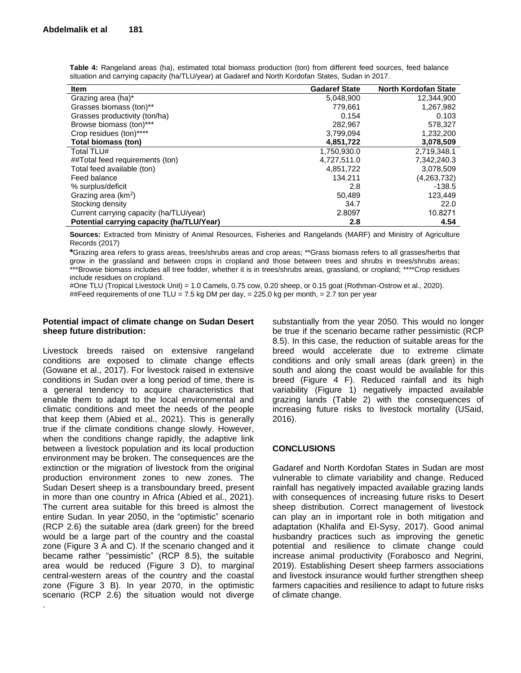| $1 - 1$ . The same call $1 - 1$ , $1 - 2$ , $1 - 3$ , $1 - 3$ , $1 - 3$ , $1 - 3$ , $1 - 3$ , $1 - 3$ , $1 - 3$ , $1 - 3$ , $1 - 3$ , $1 - 3$ , $1 - 3$ , $1 - 3$ , $1 - 3$ , $1 - 3$ , $1 - 3$ , $1 - 3$ , $1 - 3$ , $1 - 3$ , $1 - 3$ , $1 - 3$ , |                      |                             |  |  |  |
|-----------------------------------------------------------------------------------------------------------------------------------------------------------------------------------------------------------------------------------------------------|----------------------|-----------------------------|--|--|--|
| <b>Item</b>                                                                                                                                                                                                                                         | <b>Gadaref State</b> | <b>North Kordofan State</b> |  |  |  |
| Grazing area (ha)*                                                                                                                                                                                                                                  | 5,048,900            | 12,344,900                  |  |  |  |
| Grasses biomass (ton)**                                                                                                                                                                                                                             | 779.661              | 1,267,982                   |  |  |  |
| Grasses productivity (ton/ha)                                                                                                                                                                                                                       | 0.154                | 0.103                       |  |  |  |
| Browse biomass (ton)***                                                                                                                                                                                                                             | 282,967              | 578,327                     |  |  |  |
| Crop residues (ton)****                                                                                                                                                                                                                             | 3,799,094            | 1,232,200                   |  |  |  |
| Total biomass (ton)                                                                                                                                                                                                                                 | 4,851,722            | 3,078,509                   |  |  |  |
| Total TLU#                                                                                                                                                                                                                                          | 1,750,930.0          | 2,719,348.1                 |  |  |  |
| ##Total feed requirements (ton)                                                                                                                                                                                                                     | 4,727,511.0          | 7,342,240.3                 |  |  |  |
| Total feed available (ton)                                                                                                                                                                                                                          | 4,851,722            | 3,078,509                   |  |  |  |
| Feed balance                                                                                                                                                                                                                                        | 134.211              | (4,263,732)                 |  |  |  |
| % surplus/deficit                                                                                                                                                                                                                                   | 2.8                  | $-138.5$                    |  |  |  |
| Grazing area $(km^2)$                                                                                                                                                                                                                               | 50,489               | 123.449                     |  |  |  |
| Stocking density                                                                                                                                                                                                                                    | 34.7                 | 22.0                        |  |  |  |
| Current carrying capacity (ha/TLU/year)                                                                                                                                                                                                             | 2.8097               | 10.8271                     |  |  |  |
| Potential carrying capacity (ha/TLU/Year)                                                                                                                                                                                                           | 2.8                  | 4.54                        |  |  |  |

**Table 4:** Rangeland areas (ha), estimated total biomass production (ton) from different feed sources, feed balance situation and carrying capacity (ha/TLU/year) at Gadaref and North Kordofan States, Sudan in 2017.

**Sources:** Extracted from Ministry of Animal Resources, Fisheries and Rangelands (MARF) and Ministry of Agriculture Records (2017)

**\***Grazing area refers to grass areas, trees/shrubs areas and crop areas; \*\*Grass biomass refers to all grasses/herbs that grow in the grassland and between crops in cropland and those between trees and shrubs in trees/shrubs areas; \*\*\*Browse biomass includes all tree fodder, whether it is in trees/shrubs areas, grassland, or cropland; \*\*\*\*Crop residues include residues on cropland.

#One TLU (Tropical Livestock Unit) = 1.0 Camels, 0.75 cow, 0.20 sheep, or 0.15 goat (Rothman-Ostrow et al., 2020). ##Feed requirements of one TLU = 7.5 kg DM per day, = 225.0 kg per month, = 2.7 ton per year

# **Potential impact of climate change on Sudan Desert sheep future distribution:**

Livestock breeds raised on extensive rangeland conditions are exposed to climate change effects (Gowane et al., 2017). For livestock raised in extensive conditions in Sudan over a long period of time, there is a general tendency to acquire characteristics that enable them to adapt to the local environmental and climatic conditions and meet the needs of the people that keep them (Abied et al., 2021). This is generally true if the climate conditions change slowly. However, when the conditions change rapidly, the adaptive link between a livestock population and its local production environment may be broken. The consequences are the extinction or the migration of livestock from the original production environment zones to new zones. The Sudan Desert sheep is a transboundary breed, present in more than one country in Africa (Abied et al., 2021). The current area suitable for this breed is almost the entire Sudan. In year 2050, in the "optimistic" scenario (RCP 2.6) the suitable area (dark green) for the breed would be a large part of the country and the coastal zone (Figure 3 A and C). If the scenario changed and it became rather "pessimistic" (RCP 8.5), the suitable area would be reduced (Figure 3 D), to marginal central-western areas of the country and the coastal zone (Figure 3 B). In year 2070, in the optimistic scenario (RCP 2.6) the situation would not diverge

.

substantially from the year 2050. This would no longer be true if the scenario became rather pessimistic (RCP 8.5). In this case, the reduction of suitable areas for the breed would accelerate due to extreme climate conditions and only small areas (dark green) in the south and along the coast would be available for this breed (Figure 4 F). Reduced rainfall and its high variability (Figure 1) negatively impacted available grazing lands (Table 2) with the consequences of increasing future risks to livestock mortality (USaid, 2016).

# **CONCLUSIONS**

Gadaref and North Kordofan States in Sudan are most vulnerable to climate variability and change. Reduced rainfall has negatively impacted available grazing lands with consequences of increasing future risks to Desert sheep distribution. Correct management of livestock can play an in important role in both mitigation and adaptation (Khalifa and El-Sysy, 2017). Good animal husbandry practices such as improving the genetic potential and resilience to climate change could increase animal productivity (Forabosco and Negrini, 2019). Establishing Desert sheep farmers associations and livestock insurance would further strengthen sheep farmers capacities and resilience to adapt to future risks of climate change.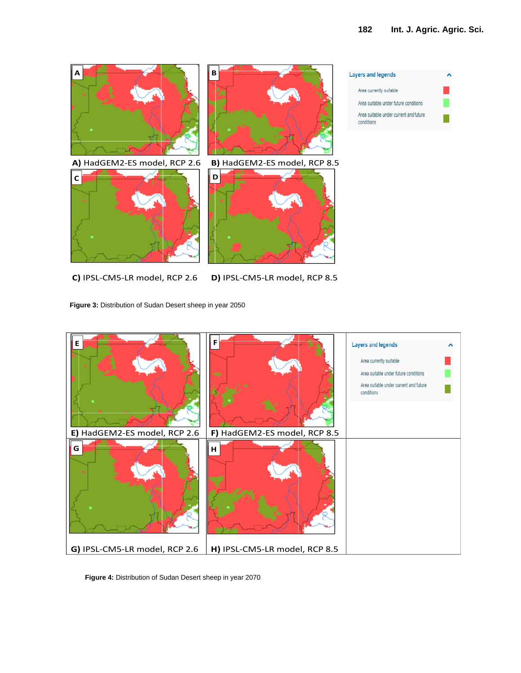

**C)** IPSL-CM5-LR model, RCP 2.6 **D)** IPSL-CM5-LR model, RCP 8.5

**Figure 3:** Distribution of Sudan Desert sheep in year 2050



**Figure 4:** Distribution of Sudan Desert sheep in year 2070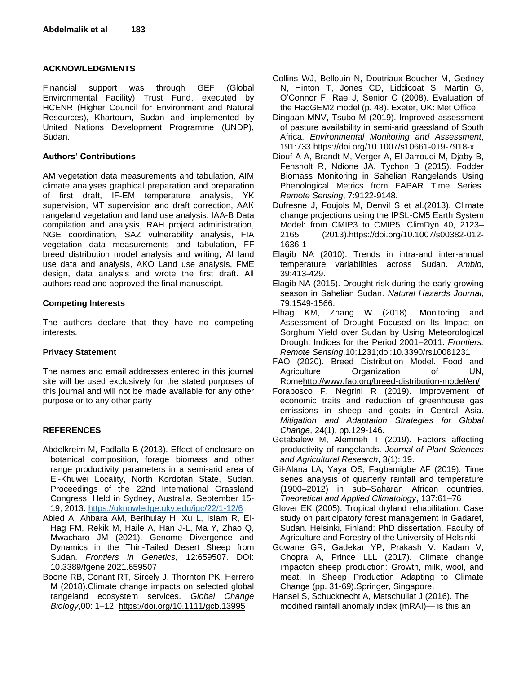# **ACKNOWLEDGMENTS**

Financial support was through GEF (Global Environmental Facility) Trust Fund, executed by HCENR (Higher Council for Environment and Natural Resources), Khartoum, Sudan and implemented by United Nations Development Programme (UNDP), Sudan.

# **Authors' Contributions**

AM vegetation data measurements and tabulation, AIM climate analyses graphical preparation and preparation of first draft, IF-EM temperature analysis, YK supervision, MT supervision and draft correction, AAK rangeland vegetation and land use analysis, IAA-B Data compilation and analysis, RAH project administration, NGE coordination, SAZ vulnerability analysis, FIA vegetation data measurements and tabulation, FF breed distribution model analysis and writing, AI land use data and analysis, AKO Land use analysis, FME design, data analysis and wrote the first draft. All authors read and approved the final manuscript.

# **Competing Interests**

The authors declare that they have no competing interests.

## **Privacy Statement**

The names and email addresses entered in this journal site will be used exclusively for the stated purposes of this journal and will not be made available for any other purpose or to any other party

# **REFERENCES**

- Abdelkreim M, Fadlalla B (2013). Effect of enclosure on botanical composition, forage biomass and other range productivity parameters in a semi-arid area of El-Khuwei Locality, North Kordofan State, Sudan. Proceedings of the 22nd International Grassland Congress. Held in Sydney, Australia, September 15- 19, 2013.<https://uknowledge.uky.edu/igc/22/1-12/6>
- Abied A, Ahbara AM, Berihulay H, Xu L, Islam R, El-Hag FM, Rekik M, Haile A, Han J-L, Ma Y, Zhao Q, Mwacharo JM (2021). Genome Divergence and Dynamics in the Thin-Tailed Desert Sheep from Sudan. *Frontiers in Genetics,* 12:659507. DOI: 10.3389/fgene.2021.659507
- Boone RB, Conant RT, Sircely J, Thornton PK, Herrero M (2018).Climate change impacts on selected global rangeland ecosystem services. *Global Change Biology*,00: 1–12.<https://doi.org/10.1111/gcb.13995>
- Collins WJ, Bellouin N, Doutriaux-Boucher M, Gedney N, Hinton T, Jones CD, Liddicoat S, Martin G, O'Connor F, Rae J, Senior C (2008). Evaluation of the HadGEM2 model (p. 48). Exeter, UK: Met Office.
- Dingaan MNV, Tsubo M (2019). Improved assessment of pasture availability in semi-arid grassland of South Africa. *Environmental Monitoring and Assessment*, 191:733<https://doi.org/10.1007/s10661-019-7918-x>
- Diouf A-A, Brandt M, Verger A, El Jarroudi M, Djaby B, Fensholt R, Ndione JA, Tychon B (2015). Fodder Biomass Monitoring in Sahelian Rangelands Using Phenological Metrics from FAPAR Time Series. *Remote Sensing*, 7:9122-9148.
- Dufresne J, Foujols M, Denvil S et al.(2013). Climate change projections using the IPSL-CM5 Earth System Model: from CMIP3 to CMIP5. ClimDyn 40, 2123– 2165 (2013)[.https://doi.org/10.1007/s00382-012-](https://doi.org/10.1007/s00382-012-1636-1) [1636-1](https://doi.org/10.1007/s00382-012-1636-1)
- Elagib NA (2010). Trends in intra-and inter-annual temperature variabilities across Sudan. *Ambio*, 39:413-429.
- Elagib NA (2015). Drought risk during the early growing season in Sahelian Sudan. *Natural Hazards Journal*, 79:1549-1566.
- Elhag KM, Zhang W (2018). Monitoring and Assessment of Drought Focused on Its Impact on Sorghum Yield over Sudan by Using Meteorological Drought Indices for the Period 2001–2011. *Frontiers: Remote Sensing*,10:1231;doi:10.3390/rs10081231
- FAO (2020). Breed Distribution Model. Food and Agriculture Organization of UN, Rom[ehttp://www.fao.org/breed-distribution-model/en/](http://www.fao.org/breed-distribution-model/en/)
- Forabosco F, Negrini R (2019). Improvement of economic traits and reduction of greenhouse gas emissions in sheep and goats in Central Asia. *Mitigation and Adaptation Strategies for Global Change*, 24(1), pp.129-146.
- Getabalew M, Alemneh T (2019). Factors affecting productivity of rangelands. *Journal of Plant Sciences and Agricultural Research*, 3(1): 19.
- Gil-Alana LA, Yaya OS, Fagbamigbe AF (2019). Time series analysis of quarterly rainfall and temperature (1900–2012) in sub–Saharan African countries. *Theoretical and Applied Climatology*, 137:61–76
- Glover EK (2005). Tropical dryland rehabilitation: Case study on participatory forest management in Gadaref, Sudan. Helsinki, Finland: PhD dissertation. Faculty of Agriculture and Forestry of the University of Helsinki.
- Gowane GR, Gadekar YP, Prakash V, Kadam V, Chopra A, Prince LLL (2017). Climate change impacton sheep production: Growth, milk, wool, and meat. In Sheep Production Adapting to Climate Change (pp. 31-69).Springer, Singapore.
- Hansel S, Schucknecht A, Matschullat J (2016). The modified rainfall anomaly index (mRAI)— is this an